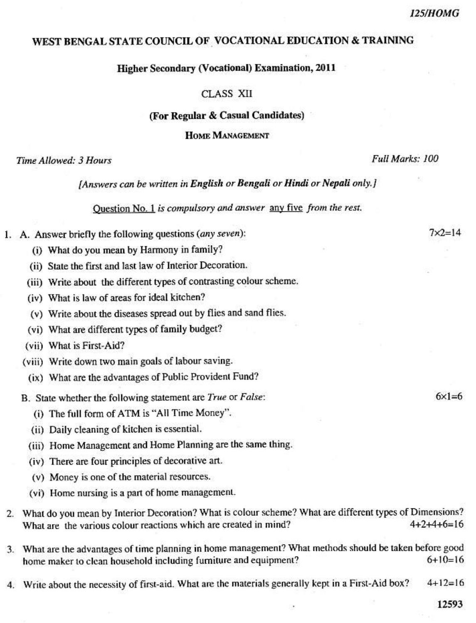# WEST BENGAL STATE COUNCIL OF VOCATIONAL EDUCATION & TRAINING

#### **Higher Secondary (Vocational) Examination, 2011**

#### CLASS XII

# (For Regular & Casual Candidates)

## **HOME MANAGEMENT**

## Time Allowed: 3 Hours

#### [Answers can be written in English or Bengali or Hindi or Nepali only.]

Question No. 1 is compulsory and answer any five from the rest.

- 1. A. Answer briefly the following questions (any seven):
	- (i) What do you mean by Harmony in family?
	- (ii) State the first and last law of Interior Decoration.
	- (iii) Write about the different types of contrasting colour scheme.
	- (iv) What is law of areas for ideal kitchen?
	- (v) Write about the diseases spread out by flies and sand flies.
	- (vi) What are different types of family budget?
	- (vii) What is First-Aid?
	- (viii) Write down two main goals of labour saving.
		- (ix) What are the advantages of Public Provident Fund?
	- B. State whether the following statement are True or False:
		- (i) The full form of ATM is "All Time Money".
		- (ii) Daily cleaning of kitchen is essential.
		- (iii) Home Management and Home Planning are the same thing.
		- (iv) There are four principles of decorative art.
		- (v) Money is one of the material resources.
		- (vi) Home nursing is a part of home management.
- 2. What do you mean by Interior Decoration? What is colour scheme? What are different types of Dimensions? What are the various colour reactions which are created in mind?  $4+2+4+6=16$
- 3. What are the advantages of time planning in home management? What methods should be taken before good home maker to clean household including furniture and equipment?  $6+10=16$
- 4. Write about the necessity of first-aid. What are the materials generally kept in a First-Aid box?  $4+12=16$

 $6\times1=6$ 

12593

 $7 \times 2 = 14$ 

Full Marks: 100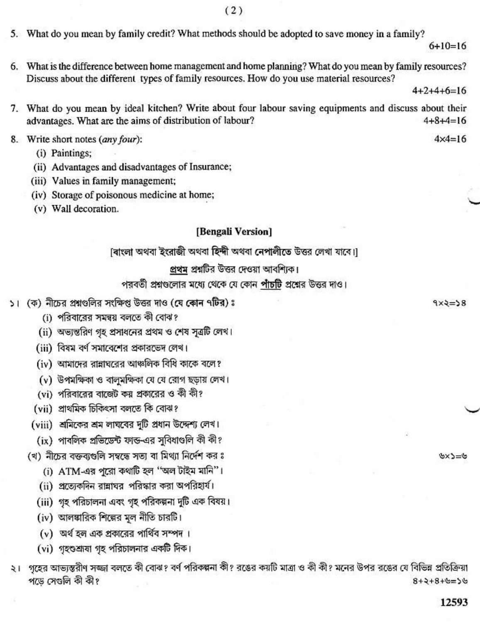- 5. What do you mean by family credit? What methods should be adopted to save money in a family?
- 6. What is the difference between home management and home planning? What do you mean by family resources? Discuss about the different types of family resources. How do you use material resources?

 $4+2+4+6=16$ 

 $6+10=16$ 

- 7. What do you mean by ideal kitchen? Write about four labour saving equipments and discuss about their advantages. What are the aims of distribution of labour?  $4+8+4=16$
- 8. Write short notes (any four):
	- (i) Paintings;
	- (ii) Advantages and disadvantages of Insurance;
	- (iii) Values in family management;
	- (iv) Storage of poisonous medicine at home;
	- (v) Wall decoration.

## [Bengali Version]

[বাংলা অথবা ইংরাজী অথবা হিন্দী অথবা নেপালীতে উত্তর লেখা যাবে।]

# প্রথম প্রশ্নটির উত্তর দেওয়া আবশ্যিক।

পরবর্তী প্রশ্নগুলোর মধ্যে থেকে যে কোন পাঁচটি প্রশ্নের উত্তর দাও।

- ১। (ক) নীচের প্রশ্নগুলির সংক্ষিপ্ত উত্তর দাও (যে কোন ৭টির) ঃ
	- (i) পরিবারের সমন্বয় বলতে কী বোঝ?
	- (ii) অভ্যন্তরিণ গৃহ প্রসাধনের প্রথম ও শেষ সূত্রটি লেখ।
	- (iii) বিষম বর্ণ সমাবেশের প্রকারভেদ লেখ।
	- (iv) আমাদের রান্নাঘরের আঞ্চলিক বিধি কাকে বলে?
	- (v) উপমক্ষিকা ও বালুমক্ষিকা যে যে রোগ ছড়ায় লেখ।
	- (vi) পরিবারের বাজেট কয় প্রকারের ও কী কী?
	- (vii) প্ৰাথমিক চিকিৎসা বলতে কি বোঝ?
	- (viii) শ্রমিকের শ্রম লাঘবের দুটি প্রধান উদ্দেশ্য লেখ।
		- (ix) পাবলিক প্রভিডেন্ট ফান্ড-এর সুবিধাণ্ডলি কী কী?
	- (খ) নীচের বক্তব্যগুলি সম্বন্ধে সত্য বা মিথ্যা নির্দেশ কর ঃ
		- (i) ATM-এর পরো কথাটি হল ''অল টাইম মানি"।
		- (ii) প্রত্যেকদিন রান্নাঘর পরিস্কার করা অপরিহার্য।
		- (iii) গৃহ পরিচালনা এবং গৃহ পরিকল্পনা দুটি এক বিষয়।
		- (iv) আলঙ্কারিক শিল্পের মূল নীতি চারটি।
		- (v) অর্থ হল এক প্রকারের পার্থিব সম্পদ।
		- (vi) গৃহণ্ডশ্রাষা গৃহ পরিচালনার একটি দিক।
- ২। গৃহের আভ্যন্তরীণ সজ্জা বলতে কী বোঝ? বর্ণ পরিকল্পনা কী? রঙের কয়টি মাত্রা ও কী কী? মনের উপর রঙের যে বিভিন্ন প্রতিক্রিয়া পড়ে সেণ্ডলি কী কী?  $8 + 2 + 8 + 6 = 56$

 $\mathcal{Y} = \mathcal{L} \times \mathcal{Y}$ 

 $4 \times 4 = 16$ 

 $9x2=58$ 

12593